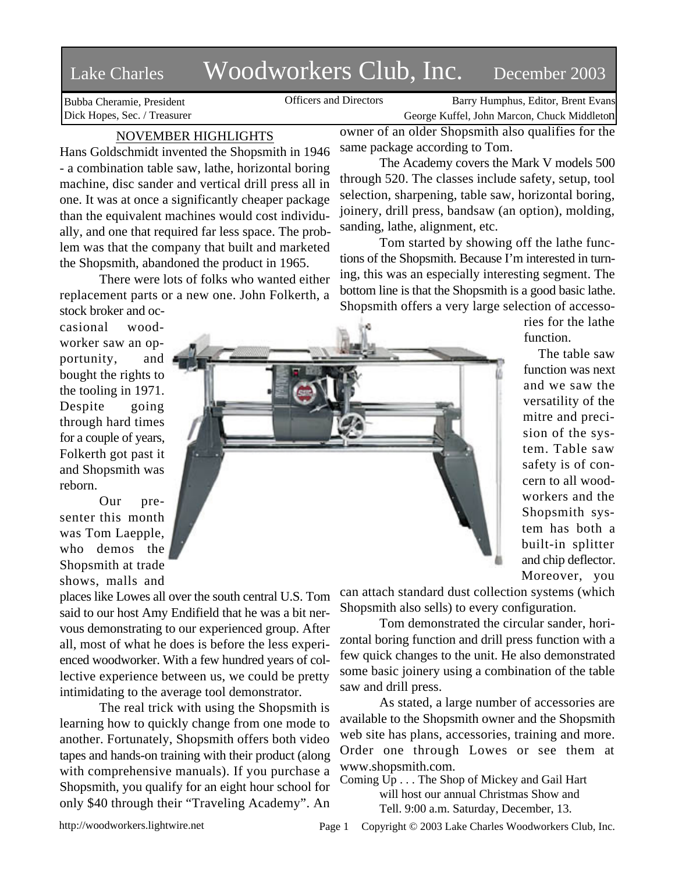# Lake Charles Woodworkers Club, Inc. December 2003

Bubba Cheramie, President Dick Hopes, Sec. / Treasurer

Officers and Directors Barry Humphus, Editor, Brent Evans George Kuffel, John Marcon, Chuck Middleton

## NOVEMBER HIGHLIGHTS

Hans Goldschmidt invented the Shopsmith in 1946 - a combination table saw, lathe, horizontal boring machine, disc sander and vertical drill press all in one. It was at once a significantly cheaper package than the equivalent machines would cost individually, and one that required far less space. The problem was that the company that built and marketed the Shopsmith, abandoned the product in 1965.

There were lots of folks who wanted either replacement parts or a new one. John Folkerth, a

owner of an older Shopsmith also qualifies for the same package according to Tom.

The Academy covers the Mark V models 500 through 520. The classes include safety, setup, tool selection, sharpening, table saw, horizontal boring, joinery, drill press, bandsaw (an option), molding, sanding, lathe, alignment, etc.

Tom started by showing off the lathe functions of the Shopsmith. Because I'm interested in turning, this was an especially interesting segment. The bottom line is that the Shopsmith is a good basic lathe. Shopsmith offers a very large selection of accesso-

> ries for the lathe function.

The table saw function was next and we saw the versatility of the mitre and precision of the system. Table saw safety is of concern to all woodworkers and the Shopsmith system has both a built-in splitter and chip deflector. Moreover, you

stock broker and occasional woodworker saw an opportunity, and bought the rights to the tooling in 1971. Despite going through hard times for a couple of years, Folkerth got past it and Shopsmith was reborn.

Our presenter this month was Tom Laepple, who demos the Shopsmith at trade shows, malls and

places like Lowes all over the south central U.S. Tom said to our host Amy Endifield that he was a bit nervous demonstrating to our experienced group. After all, most of what he does is before the less experienced woodworker. With a few hundred years of collective experience between us, we could be pretty intimidating to the average tool demonstrator.

The real trick with using the Shopsmith is learning how to quickly change from one mode to another. Fortunately, Shopsmith offers both video tapes and hands-on training with their product (along with comprehensive manuals). If you purchase a Shopsmith, you qualify for an eight hour school for only \$40 through their "Traveling Academy". An

can attach standard dust collection systems (which Shopsmith also sells) to every configuration.

Tom demonstrated the circular sander, horizontal boring function and drill press function with a few quick changes to the unit. He also demonstrated some basic joinery using a combination of the table saw and drill press.

As stated, a large number of accessories are available to the Shopsmith owner and the Shopsmith web site has plans, accessories, training and more. Order one through Lowes or see them at www.shopsmith.com.

Coming Up . . . The Shop of Mickey and Gail Hart will host our annual Christmas Show and Tell. 9:00 a.m. Saturday, December, 13.



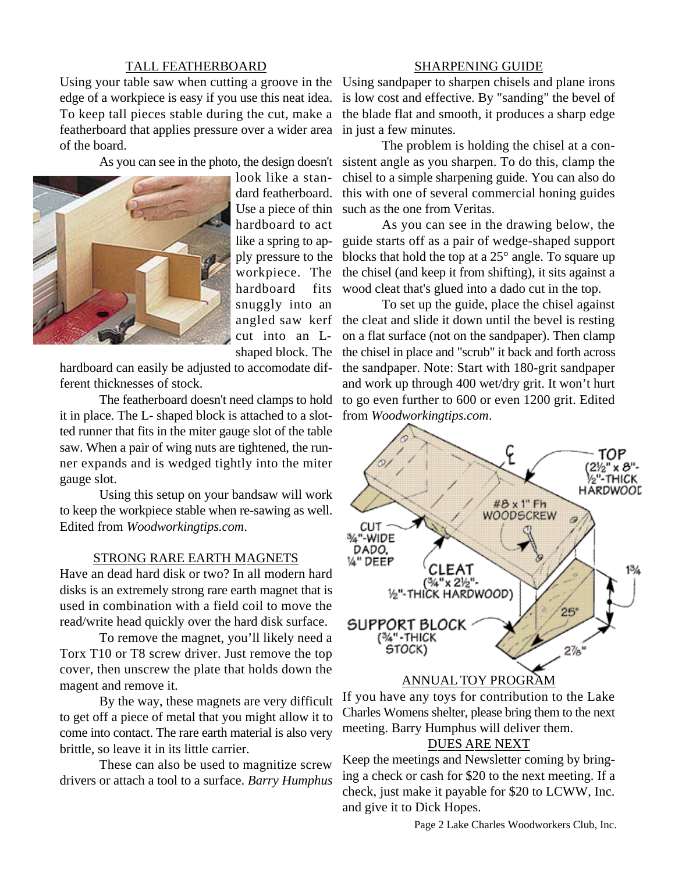#### TALL FEATHERBOARD

Using your table saw when cutting a groove in the Using sandpaper to sharpen chisels and plane irons edge of a workpiece is easy if you use this neat idea. To keep tall pieces stable during the cut, make a featherboard that applies pressure over a wider area in just a few minutes. of the board.



look like a standard featherboard. Use a piece of thin hardboard to act workpiece. The hardboard fits snuggly into an cut into an Lshaped block. The

hardboard can easily be adjusted to accomodate different thicknesses of stock.

The featherboard doesn't need clamps to hold it in place. The L- shaped block is attached to a slotted runner that fits in the miter gauge slot of the table saw. When a pair of wing nuts are tightened, the runner expands and is wedged tightly into the miter gauge slot.

Using this setup on your bandsaw will work to keep the workpiece stable when re-sawing as well. Edited from *Woodworkingtips.com*.

### STRONG RARE EARTH MAGNETS

Have an dead hard disk or two? In all modern hard disks is an extremely strong rare earth magnet that is used in combination with a field coil to move the read/write head quickly over the hard disk surface.

To remove the magnet, you'll likely need a Torx T10 or T8 screw driver. Just remove the top cover, then unscrew the plate that holds down the magent and remove it.

By the way, these magnets are very difficult to get off a piece of metal that you might allow it to come into contact. The rare earth material is also very brittle, so leave it in its little carrier.

These can also be used to magnitize screw drivers or attach a tool to a surface. *Barry Humphus*

#### SHARPENING GUIDE

is low cost and effective. By "sanding" the bevel of the blade flat and smooth, it produces a sharp edge

As you can see in the photo, the design doesn't sistent angle as you sharpen. To do this, clamp the The problem is holding the chisel at a conchisel to a simple sharpening guide. You can also do this with one of several commercial honing guides such as the one from Veritas.

> like a spring to ap-guide starts off as a pair of wedge-shaped support ply pressure to the blocks that hold the top at a 25° angle. To square up As you can see in the drawing below, the the chisel (and keep it from shifting), it sits against a wood cleat that's glued into a dado cut in the top.

> angled saw kerf the cleat and slide it down until the bevel is resting To set up the guide, place the chisel against on a flat surface (not on the sandpaper). Then clamp the chisel in place and "scrub" it back and forth across the sandpaper. Note: Start with 180-grit sandpaper and work up through 400 wet/dry grit. It won't hurt to go even further to 600 or even 1200 grit. Edited from *Woodworkingtips.com*.



If you have any toys for contribution to the Lake Charles Womens shelter, please bring them to the next meeting. Barry Humphus will deliver them.

## DUES ARE NEXT

Keep the meetings and Newsletter coming by bringing a check or cash for \$20 to the next meeting. If a check, just make it payable for \$20 to LCWW, Inc. and give it to Dick Hopes.